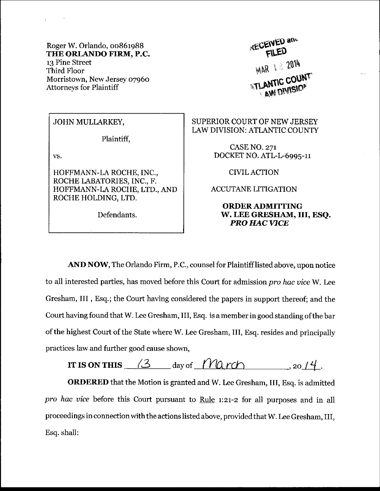Roger W. Orlando, 00861988 THE ORLANDO FIRM, P.C. 13 Pine Street Third Floor Morristown, Neu' Jersey o796o Attorneys for Plaintiff

**RECEIVED and** FILED **MAR 1 3 2014 STLANTIC COUNT LAN IN THISIO** 

## JOHN MULLARKEY,

Plaintiff,

vs.

HOFFMANN-LA ROCHE, INC., ROCHE LABATORIES, INC., F. HOFFMANN-LA ROCHE, LTD., AND ROCHE HOLDING, LTD.

Defendants.

SUPERIOR COURT OF NEW JERSEY LAW DIVISION: ATLANTIC COUNTY

> CASE NO. z7r DOCKET NO. ATL-L-6995-1I

> > CIVILACTION

ACCUTANE LITIGATION

## ORDERADMITTING w. LEE GRESIIAM, III, ESQ. **PRO HAC VICE**

AND NOW, The Orlando Firm, P.C., counsel for Plaintifflisted above, upon notice to all interested parties, has moved before this Court for admission pro hac vice W. Lee Gresham, III , Esq.; the Court having considered the papers in support thereof; and the Court having found that W. Lee Gresham, III, Esq. is a member in good standing of the bar of the highest Court of the State where W. Lee Gresham, III, Esq. resides and principally practices law and further good cause shown,

IT IS ON THIS  $\frac{3}{3}$  day of  $\frac{120 \text{ r}}{100 \text{ r}}$ , 20 / 4.

ORDERED that the Motion is granted and W. Lee Gresham, III, Esq. is admitted pro hac vice before this Court pursuant to Rule 1:21-2 for all purposes and in all proceedings in connection with the actions listed above, provided that W. Lee Gresham, III, Esq. shall: